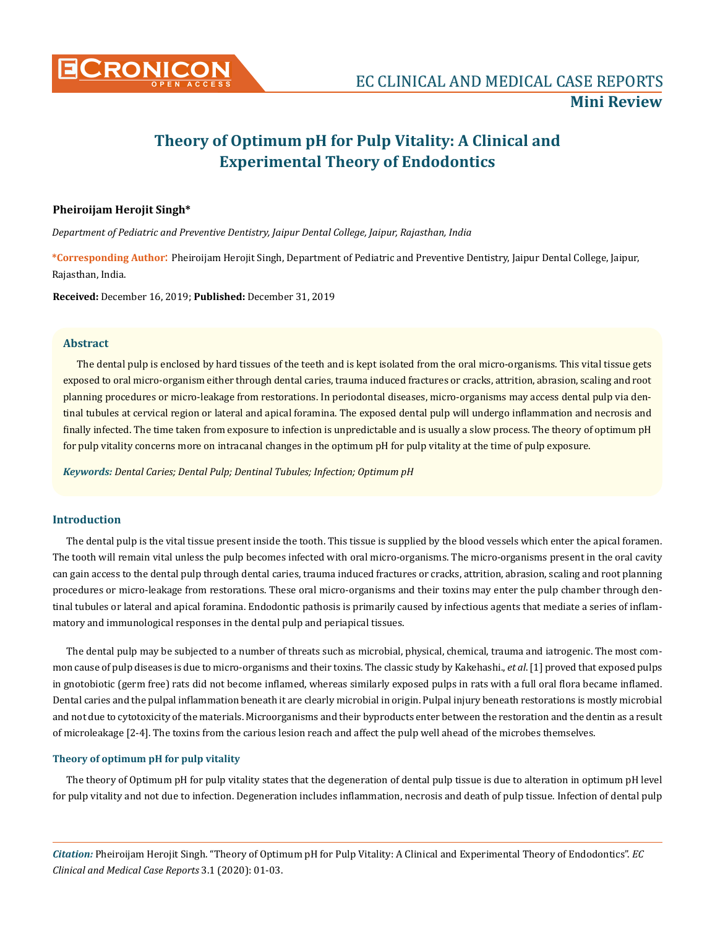

# **Theory of Optimum pH for Pulp Vitality: A Clinical and Experimental Theory of Endodontics**

#### **Pheiroijam Herojit Singh\***

*Department of Pediatric and Preventive Dentistry, Jaipur Dental College, Jaipur, Rajasthan, India*

**\*Corresponding Author**: Pheiroijam Herojit Singh, Department of Pediatric and Preventive Dentistry, Jaipur Dental College, Jaipur, Rajasthan, India.

**Received:** December 16, 2019; **Published:** December 31, 2019

## **Abstract**

The dental pulp is enclosed by hard tissues of the teeth and is kept isolated from the oral micro-organisms. This vital tissue gets exposed to oral micro-organism either through dental caries, trauma induced fractures or cracks, attrition, abrasion, scaling and root planning procedures or micro-leakage from restorations. In periodontal diseases, micro-organisms may access dental pulp via dentinal tubules at cervical region or lateral and apical foramina. The exposed dental pulp will undergo inflammation and necrosis and finally infected. The time taken from exposure to infection is unpredictable and is usually a slow process. The theory of optimum pH for pulp vitality concerns more on intracanal changes in the optimum pH for pulp vitality at the time of pulp exposure.

*Keywords: Dental Caries; Dental Pulp; Dentinal Tubules; Infection; Optimum pH* 

#### **Introduction**

The dental pulp is the vital tissue present inside the tooth. This tissue is supplied by the blood vessels which enter the apical foramen. The tooth will remain vital unless the pulp becomes infected with oral micro-organisms. The micro-organisms present in the oral cavity can gain access to the dental pulp through dental caries, trauma induced fractures or cracks, attrition, abrasion, scaling and root planning procedures or micro-leakage from restorations. These oral micro-organisms and their toxins may enter the pulp chamber through dentinal tubules or lateral and apical foramina. Endodontic pathosis is primarily caused by infectious agents that mediate a series of inflammatory and immunological responses in the dental pulp and periapical tissues.

The dental pulp may be subjected to a number of threats such as microbial, physical, chemical, trauma and iatrogenic. The most common cause of pulp diseases is due to micro-organisms and their toxins. The classic study by Kakehashi., *et al*. [1] proved that exposed pulps in gnotobiotic (germ free) rats did not become inflamed, whereas similarly exposed pulps in rats with a full oral flora became inflamed. Dental caries and the pulpal inflammation beneath it are clearly microbial in origin. Pulpal injury beneath restorations is mostly microbial and not due to cytotoxicity of the materials. Microorganisms and their byproducts enter between the restoration and the dentin as a result of microleakage [2-4]. The toxins from the carious lesion reach and affect the pulp well ahead of the microbes themselves.

#### **Theory of optimum pH for pulp vitality**

The theory of Optimum pH for pulp vitality states that the degeneration of dental pulp tissue is due to alteration in optimum pH level for pulp vitality and not due to infection. Degeneration includes inflammation, necrosis and death of pulp tissue. Infection of dental pulp

*Citation:* Pheiroijam Herojit Singh. "Theory of Optimum pH for Pulp Vitality: A Clinical and Experimental Theory of Endodontics". *EC Clinical and Medical Case Reports* 3.1 (2020): 01-03.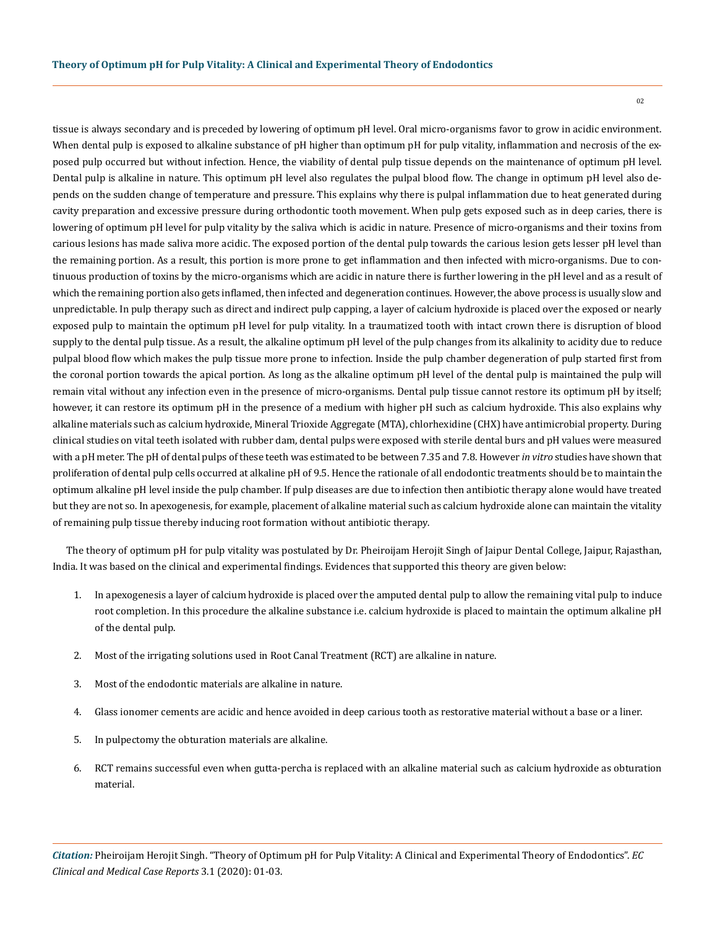tissue is always secondary and is preceded by lowering of optimum pH level. Oral micro-organisms favor to grow in acidic environment. When dental pulp is exposed to alkaline substance of pH higher than optimum pH for pulp vitality, inflammation and necrosis of the exposed pulp occurred but without infection. Hence, the viability of dental pulp tissue depends on the maintenance of optimum pH level. Dental pulp is alkaline in nature. This optimum pH level also regulates the pulpal blood flow. The change in optimum pH level also depends on the sudden change of temperature and pressure. This explains why there is pulpal inflammation due to heat generated during cavity preparation and excessive pressure during orthodontic tooth movement. When pulp gets exposed such as in deep caries, there is lowering of optimum pH level for pulp vitality by the saliva which is acidic in nature. Presence of micro-organisms and their toxins from carious lesions has made saliva more acidic. The exposed portion of the dental pulp towards the carious lesion gets lesser pH level than the remaining portion. As a result, this portion is more prone to get inflammation and then infected with micro-organisms. Due to continuous production of toxins by the micro-organisms which are acidic in nature there is further lowering in the pH level and as a result of which the remaining portion also gets inflamed, then infected and degeneration continues. However, the above process is usually slow and unpredictable. In pulp therapy such as direct and indirect pulp capping, a layer of calcium hydroxide is placed over the exposed or nearly exposed pulp to maintain the optimum pH level for pulp vitality. In a traumatized tooth with intact crown there is disruption of blood supply to the dental pulp tissue. As a result, the alkaline optimum pH level of the pulp changes from its alkalinity to acidity due to reduce pulpal blood flow which makes the pulp tissue more prone to infection. Inside the pulp chamber degeneration of pulp started first from the coronal portion towards the apical portion. As long as the alkaline optimum pH level of the dental pulp is maintained the pulp will remain vital without any infection even in the presence of micro-organisms. Dental pulp tissue cannot restore its optimum pH by itself; however, it can restore its optimum pH in the presence of a medium with higher pH such as calcium hydroxide. This also explains why alkaline materials such as calcium hydroxide, Mineral Trioxide Aggregate (MTA), chlorhexidine (CHX) have antimicrobial property. During clinical studies on vital teeth isolated with rubber dam, dental pulps were exposed with sterile dental burs and pH values were measured with a pH meter. The pH of dental pulps of these teeth was estimated to be between 7.35 and 7.8. However *in vitro* studies have shown that proliferation of dental pulp cells occurred at alkaline pH of 9.5. Hence the rationale of all endodontic treatments should be to maintain the optimum alkaline pH level inside the pulp chamber. If pulp diseases are due to infection then antibiotic therapy alone would have treated but they are not so. In apexogenesis, for example, placement of alkaline material such as calcium hydroxide alone can maintain the vitality of remaining pulp tissue thereby inducing root formation without antibiotic therapy.

The theory of optimum pH for pulp vitality was postulated by Dr. Pheiroijam Herojit Singh of Jaipur Dental College, Jaipur, Rajasthan, India. It was based on the clinical and experimental findings. Evidences that supported this theory are given below:

- 1. In apexogenesis a layer of calcium hydroxide is placed over the amputed dental pulp to allow the remaining vital pulp to induce root completion. In this procedure the alkaline substance i.e. calcium hydroxide is placed to maintain the optimum alkaline pH of the dental pulp.
- 2. Most of the irrigating solutions used in Root Canal Treatment (RCT) are alkaline in nature.
- 3. Most of the endodontic materials are alkaline in nature.
- 4. Glass ionomer cements are acidic and hence avoided in deep carious tooth as restorative material without a base or a liner.
- 5. In pulpectomy the obturation materials are alkaline.
- 6. RCT remains successful even when gutta-percha is replaced with an alkaline material such as calcium hydroxide as obturation material.

 $02$